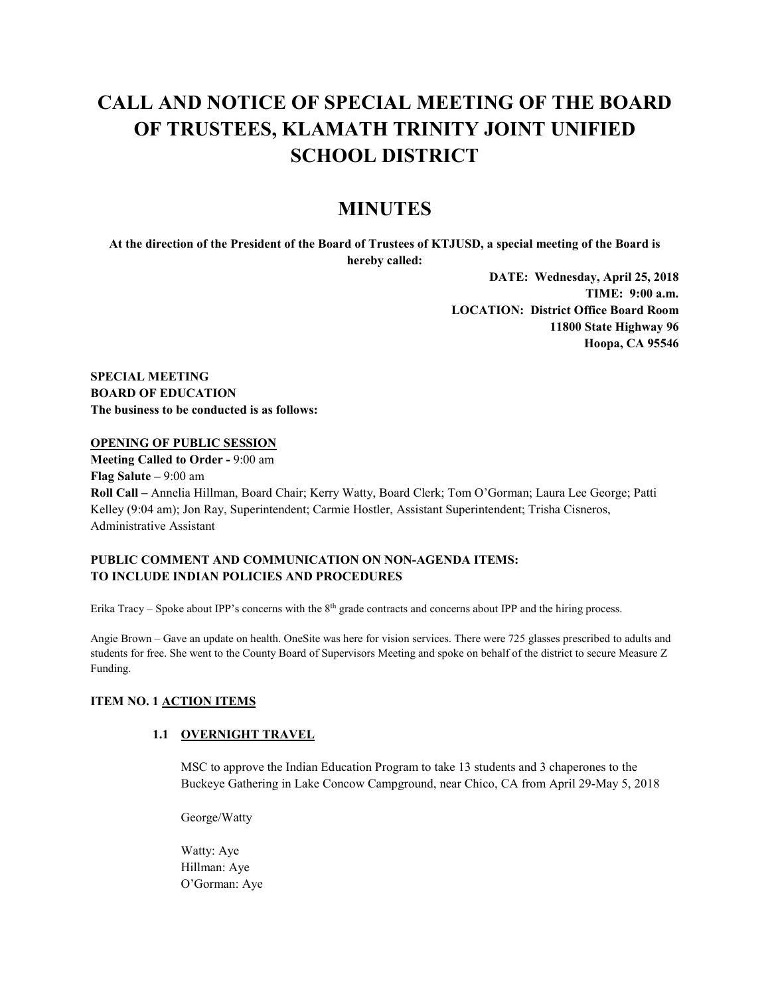# **CALL AND NOTICE OF SPECIAL MEETING OF THE BOARD OF TRUSTEES, KLAMATH TRINITY JOINT UNIFIED SCHOOL DISTRICT**

# **MINUTES**

**At the direction of the President of the Board of Trustees of KTJUSD, a special meeting of the Board is hereby called:**

> **DATE: Wednesday, April 25, 2018 TIME: 9:00 a.m. LOCATION: District Office Board Room 11800 State Highway 96 Hoopa, CA 95546**

**SPECIAL MEETING BOARD OF EDUCATION The business to be conducted is as follows:**

#### **OPENING OF PUBLIC SESSION**

**Meeting Called to Order -** 9:00 am **Flag Salute –** 9:00 am **Roll Call –** Annelia Hillman, Board Chair; Kerry Watty, Board Clerk; Tom O'Gorman; Laura Lee George; Patti Kelley (9:04 am); Jon Ray, Superintendent; Carmie Hostler, Assistant Superintendent; Trisha Cisneros, Administrative Assistant

# **PUBLIC COMMENT AND COMMUNICATION ON NON-AGENDA ITEMS: TO INCLUDE INDIAN POLICIES AND PROCEDURES**

Erika Tracy – Spoke about IPP's concerns with the 8<sup>th</sup> grade contracts and concerns about IPP and the hiring process.

Angie Brown – Gave an update on health. OneSite was here for vision services. There were 725 glasses prescribed to adults and students for free. She went to the County Board of Supervisors Meeting and spoke on behalf of the district to secure Measure Z Funding.

#### **ITEM NO. 1 ACTION ITEMS**

#### **1.1 OVERNIGHT TRAVEL**

MSC to approve the Indian Education Program to take 13 students and 3 chaperones to the Buckeye Gathering in Lake Concow Campground, near Chico, CA from April 29-May 5, 2018

George/Watty

Watty: Aye Hillman: Aye O'Gorman: Aye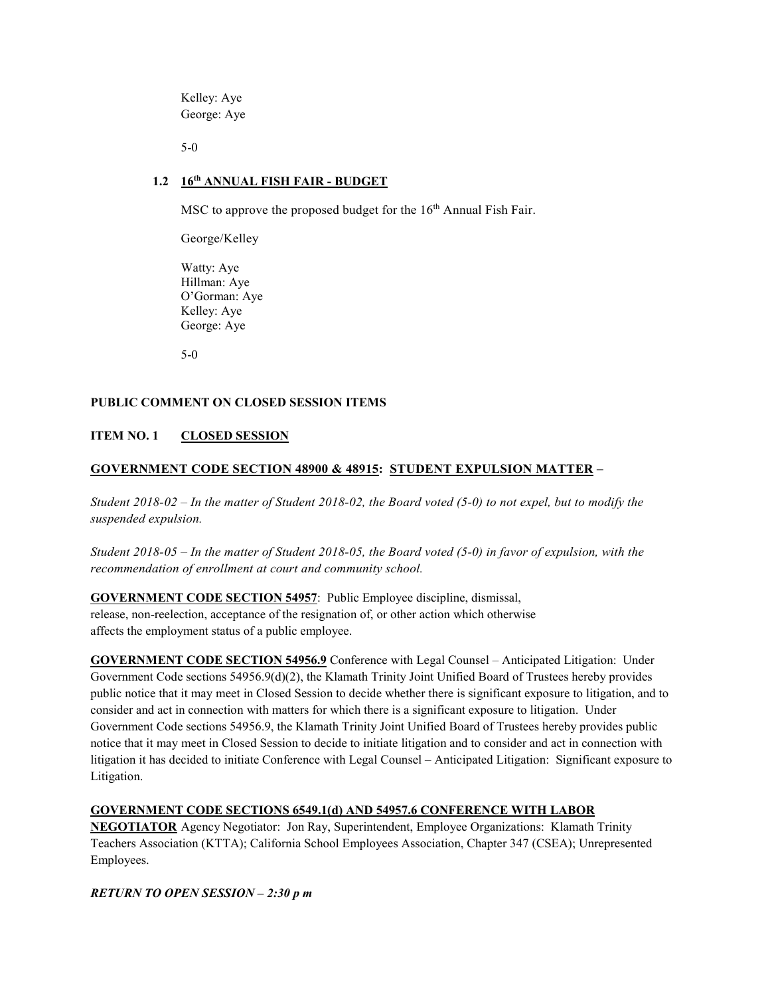Kelley: Aye George: Aye

5-0

### **1.2 16th ANNUAL FISH FAIR - BUDGET**

MSC to approve the proposed budget for the 16<sup>th</sup> Annual Fish Fair.

George/Kelley

Watty: Aye Hillman: Aye O'Gorman: Aye Kelley: Aye George: Aye

5-0

### **PUBLIC COMMENT ON CLOSED SESSION ITEMS**

# **ITEM NO. 1 CLOSED SESSION**

# **GOVERNMENT CODE SECTION 48900 & 48915: STUDENT EXPULSION MATTER –**

*Student 2018-02 – In the matter of Student 2018-02, the Board voted (5-0) to not expel, but to modify the suspended expulsion.* 

*Student 2018-05 – In the matter of Student 2018-05, the Board voted (5-0) in favor of expulsion, with the recommendation of enrollment at court and community school.* 

#### **GOVERNMENT CODE SECTION 54957**: Public Employee discipline, dismissal,

release, non-reelection, acceptance of the resignation of, or other action which otherwise affects the employment status of a public employee.

**GOVERNMENT CODE SECTION 54956.9** Conference with Legal Counsel – Anticipated Litigation: Under Government Code sections 54956.9(d)(2), the Klamath Trinity Joint Unified Board of Trustees hereby provides public notice that it may meet in Closed Session to decide whether there is significant exposure to litigation, and to consider and act in connection with matters for which there is a significant exposure to litigation. Under Government Code sections 54956.9, the Klamath Trinity Joint Unified Board of Trustees hereby provides public notice that it may meet in Closed Session to decide to initiate litigation and to consider and act in connection with litigation it has decided to initiate Conference with Legal Counsel – Anticipated Litigation: Significant exposure to Litigation.

# **GOVERNMENT CODE SECTIONS 6549.1(d) AND 54957.6 CONFERENCE WITH LABOR**

**NEGOTIATOR** Agency Negotiator: Jon Ray, Superintendent, Employee Organizations: Klamath Trinity Teachers Association (KTTA); California School Employees Association, Chapter 347 (CSEA); Unrepresented Employees.

*RETURN TO OPEN SESSION – 2:30 p m*